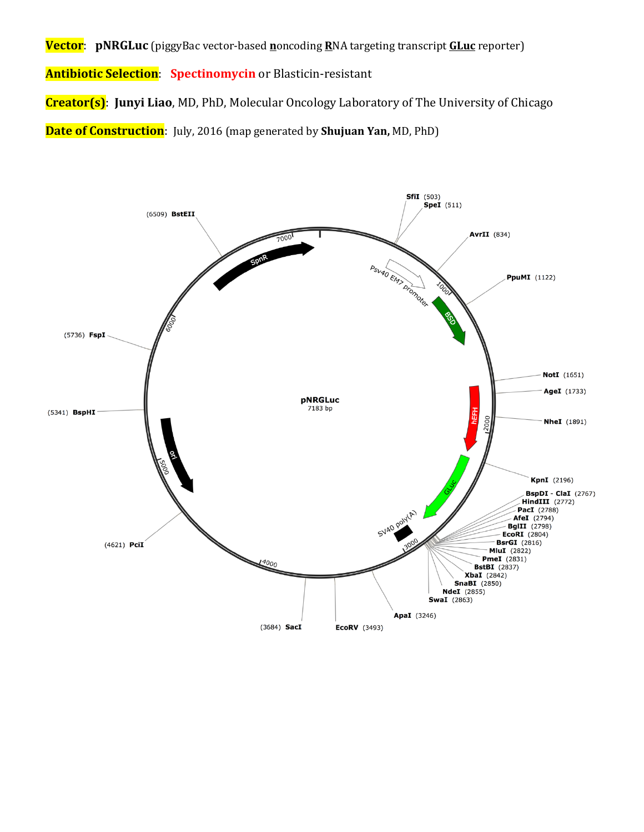**Vector**: **pNRGLuc** (piggyBac vector-based **n**oncoding **R**NA targeting transcript **GLuc** reporter)

**Antibiotic Selection**: **Spectinomycin** or Blasticin-resistant

**Creator(s)**: **Junyi Liao**, MD, PhD, Molecular Oncology Laboratory of The University of Chicago

**Date of Construction**: July, 2016 (map generated by **Shujuan Yan,** MD, PhD)

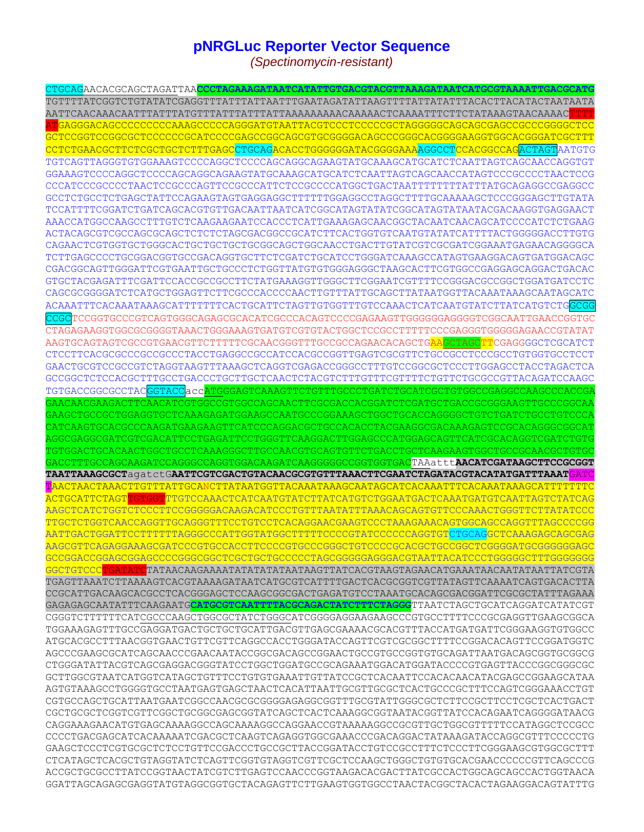## **pNRGLuc Reporter Vector Sequence**

*(Spectinomycin-resistant)*

CTGCAGAACACGCAGCTAGATTAA**CCCTAGAAAGATAATCATATTGTGACGTACGTTAAAGATAATCATGCGTAAAATTGACGCATG** TGTTTTATCGGTCTGTATATCGAGGTTTATTTATTAATTTGAATAGATATTAAGTTTTATTATATTTACACTTACATACTAATAATA AATTCAACAAACAATTTATTTATGTTTATTTATTTATTAAAAAAAAACAAAAACTCAAAATTTCTTCTATAAAGTAACAAAACTTTT ATGAGGGACAGCCCCCCCCCAAAGCCCCCAGGGATGTAATTACGTCCCTCCCCCGCTAGGGGGCAGCAGCGAGCCGCCCGGGGCTCC GCTCCGGTCCGGCGCTCCCCCCGCATCCCCGAGCCGGCAGCGTGCGGGGACAGCCCGGGCACGGGGAAGGTGGCACGGGATCGCTTT CCTCTGAACGCTTCTCGCTGCTCTTTGAGCCTGCAGACACCTGGGGGGATACGGGGAAAAGGCCTCCACGGCCAGACTAGTAATGTG TGTCAGTTAGGGTGTGGAAAGTCCCCAGGCTCCCCAGCAGGCAGAAGTATGCAAAGCATGCATCTCAATTAGTCAGCAACCAGGTGT GGAAAGTCCCCAGGCTCCCCAGCAGGCAGAAGTATGCAAAGCATGCATCTCAATTAGTCAGCAACCATAGTCCCGCCCCTAACTCCG CCCATCCCGCCCCTAACTCCGCCCAGTTCCGCCCATTCTCCGCCCCATGGCTGACTAATTTTTTTTATTTATGCAGAGGCCGAGGCC GCCTCTGCCTCTGAGCTATTCCAGAAGTAGTGAGGAGGCTTTTTTGGAGGCCTAGGCTTTTGCAAAAAGCTCCCGGGAGCTTGTATA TCCATTTTCGGATCTGATCAGCACGTGTTGACAATTAATCATCGGCATAGTATATCGGCATAGTATAATACGACAAGGTGAGGAACT AAACCATGGCCAAGCCTTTGTCTCAAGAAGAATCCACCCTCATTGAAAGAGCAACGGCTACAATCAACAGCATCCCCATCTCTGAAG ACTACAGCGTCGCCAGCGCAGCTCTCTCTAGCGACGGCCGCATCTTCACTGGTGTCAATGTATATCATTTTACTGGGGGACCTTGTG CAGAACTCGTGGTGCTGGGCACTGCTGCTGCTGCGGCAGCTGGCAACCTGACTTGTATCGTCGCGATCGGAAATGAGAACAGGGGCA TCTTGAGCCCCTGCGGACGGTGCCGACAGGTGCTTCTCGATCTGCATCCTGGGATCAAAGCCATAGTGAAGGACAGTGATGGACAGC CGACGGCAGTTGGGATTCGTGAATTGCTGCCCTCTGGTTATGTGGGAGGGCTAAGCACTTCGTGGCCGAGGAGCAGGACTGACAC GTGCTACGAGATTTCGATTCCACCGCCGCCTTCTATGAAAGGTTGGGCTTCGGAATCGTTTTCCGGGACGCCGGCTGGATGATCCTC CAGCGCGGGGATCTCATGCTGGAGTTCTTCGCCCACCCCAACTTGTTTATTGCAGCTTATAATGGTTACAAATAAAGCAATAGCATC ACAAATTTCACAAATAAAGCATTTTTTTCACTGCATTCTAGTTGTGGTTTGTCCAAACTCATCAATGTATCTTATCATGTCTGGCGG CCGCTCCGGTGCCCGTCAGTGGGCAGAGCGCACATCGCCCACAGTCCCCGAGAAGTTGGGGGGAGGGGTCGGCAATTGAACCGGTGC CTAGAGAAGGTGGCGCGGGGTAAACTGGGAAAGTGATGTCGTGTACTGGCTCCGCCTTTTTCCCGAGGGTGGGGGAGAACCGTATAT AAGTGCAGTAGTCGCCGTGAACGTTCTTTTTCGCAACGGGTTTGCCGCCAGAACACAGCTGAAGCTAGCTTCGAGGGGCTCGCATCT CTCCTTCACGCGCCCGCCGCCCTACCTGAGGCCGCCATCCACGCCGGTTGAGTCGCGTTCTGCCGCCTCCCGCCTGTGGTGCCTCCT GAACTGCGTCCGCCGTCTAGGTAAGTTTAAAGCTCAGGTCGAGACCGGGCCTTTGTCCGGCGCTCCCTTGGAGCCTACCTAGACTCA GCCGGCTCTCCACGCTTTGCCTGACCCTGCTTGCTCAACTCTACGTCTTTGTTTCGTTTTCTGTTCTGCGCCGTTACAGATCCAAGC TGTGACCGGCGCCTACGGTACCaccATGGGAGTCAAAGTTCTGTTTGCCCTGATCTGCATCGCTGTGGCCGAGGCCAAGCCCACCGA GAACAACGAAGACTTCAACATCGTGGCCGTGGCCAGCAACTTCGCGACCACGGATCTCGATGCTGACCGCGGGAAGTTGCCCGGCAA GAAGCTGCCGCTGGAGGTGCTCAAAGAGATGGAAGCCAATGCCCGGAAAGCTGGCTGCACCAGGGGCTGTCTGATCTGCCTGTCCCA CATCAAGTGCACGCCCAAGATGAAGAAGTTCATCCCAGGACGCTGCCACACCTACGAAGGCGACAAAGAGTCCGCACAGGGCGGCAT AGGCGAGGCGATCGTCGACATTCCTGAGATTCCTGGGTTCAAGGACTTGGAGCCCATGGAGCAGTTCATCGCACAGGTCGATCTGTG TGTGGACTGCACAACTGGCTGCCTCAAAGGGCTTGCCAACGTGCAGTGTTCTGACCTGCTCAAGAAGTGGCTGCCGCAACGCTGTGC GACCTTTGCCAGCAAGATCCAGGGCCAGGTGGACAAGATCAAGGGGGCCGGTGGTGACTAAattt**AACATCGATAAGCTTCCGCGGT TAATTAAAGCGCT**agatctG**AATTCGTCGACTGTACAACGCGTGTTTAAACTTCGAATCTAGATACGTACATATGATTTAAAT**GATC TAACTAACTAAACTTGTTTATTGCANCTTATAATGGTTACAAATAAAGCAATAGCATCACAAATTTCACAAATAAAGCATTTTTTTC ACTGCATTCTAGTTGTGGTTTGTCCAAACTCATCAATGTATCTTATCATGTCTGGAATGACTCAAATGATGTCAATTAGTCTATCAG AAGCTCATCTGGTCTCCCTTCCGGGGGACAAGACATCCCTGTTTAATATTTAAACAGCAGTGTTCCCAAACTGGGTTCTTATATCCC TTGCTCTGGTCAACCAGGTTGCAGGGTTTCCTGTCCTCACAGGAACGAAGTCCCTAAAGAAACAGTGGCAGCCAGGTTTAGCCCCGG AATTGACTGGATTCCTTTTTTAGGGCCCATTGGTATGGCTTTTTCCCCGTATCCCCCCAGGTGTCTGCAGGCTCAAAGAGCAGCGAG AAGCGTTCAGAGGAAAGCGATCCCGTGCCACCTTCCCCGTGCCCGGGCTGTCCCCGCACGCTGCCGGCTCGGGGATGCGGGGGGAGC GCCGGACCGGAGCGGAGCCCCGGGCGGCTCGCTGCTGCCCCCTAGCGGGGGAGGGACGTAATTACATCCCTGGGGGCTTTGGGGGGG GGCTGTCCC<mark>TGATATC</mark>TATAACAAGAAAATATATATATAAGTAAGTTATCACGTAAGTAGAACATGAAATAACAATATAATTATCGTA TGAGTTAAATCTTAAAAGTCACGTAAAAGATAATCATGCGTCATTTTGACTCACGCGGTCGTTATAGTTCAAAATCAGTGACACTTA CCGCATTGACAAGCACGCCTCACGGGAGCTCCAAGCGGCGACTGAGATGTCCTAAATGCACAGCGACGGATTCGCGCTATTTAGAAA GAGAGAGCAATATTTCAAGAATG**CATGCGTCAATTTTACGCAGACTATCTTTCTAGGG**TTAATCTAGCTGCATCAGGATCATATCGT CGGGTCTTTTTTCATCGCCCAAGCTGGCGCTATCTGGGCATCGGGGAGGAAGAAGCCCGTGCCTTTTCCCGCGAGGTTGAAGCGGCA TGGAAAGAGTTTGCCGAGGATGACTGCTGCTGCATTGACGTTGAGCGAAAACGCACGTTTACCATGATGATTCGGGAAGGTGTGGCC ATGCACGCCTTTAACGGTGAACTGTTCGTTCAGGCCACCTGGGATACCAGTTCGTCGCGGCTTTTCCGGACACAGTTCCGGATGGTC AGCCCGAAGCGCATCAGCAACCCGAACAATACCGGCGACAGCCGGAACTGCCGTGCCGGTGTGCAGATTAATGACAGCGGTGCGGCG CTGGGATATTACGTCAGCGAGGACGGGTATCCTGGCTGGATGCCGCAGAAATGGACATGGATACCCCGTGAGTTACCCGGCGGGCGC GCTTGGCGTAATCATGGTCATAGCTGTTTCCTGTGTGAAATTGTTATCCGCTCACAATTCCACACAACATACGAGCCGGAAGCATAA AGTGTAAAGCCTGGGGTGCCTAATGAGTGAGCTAACTCACATTAATTGCGTTGCGCTCACTGCCCGCTTTCCAGTCGGGAAACCTGT CGTGCCAGCTGCATTAATGAATCGGCCAACGCGCGGGGAGAGGCGGTTTGCGTATTGGGCGCTCTTCCGCTTCCTCGCTCACTGACT CGCTGCGCTCGGTCGTTCGGCTGCGGCGAGCGGTATCAGCTCACTCAAAGGCGGTAATACGGTTATCCACAGAATCAGGGGATAACG CAGGAAAGAACATGTGAGCAAAAGGCCAGCAAAAGGCCAGGAACCGTAAAAAGGCCGCGTTGCTGGCGTTTTTCCATAGGCTCCGCC CCCCTGACGAGCATCACAAAAATCGACGCTCAAGTCAGAGGTGGCGAAACCCGACAGGACTATAAAGATACCAGGCGTTTCCCCCTG GAAGCTCCCTCGTGCGCTCTCCTGTTCCGACCCTGCCGCTTACCGGATACCTGTCCGCCTTTCTCCCTTCGGGAAGCGTGGCGCTTT CTCATAGCTCACGCTGTAGGTATCTCAGTTCGGTGTAGGTCGTTCGCTCCAAGCTGGGCTGTGTGCACGAACCCCCCGTTCAGCCCG ACCGCTGCGCCTTATCCGGTAACTATCGTCTTGAGTCCAACCCGGTAAGACACGACTTATCGCCACTGGCAGCAGCCACTGGTAACA GGATTAGCAGAGCGAGGTATGTAGGCGGTGCTACAGAGTTCTTGAAGTGGTGGCCTAACTACGGCTACACTAGAAGGACAGTATTTG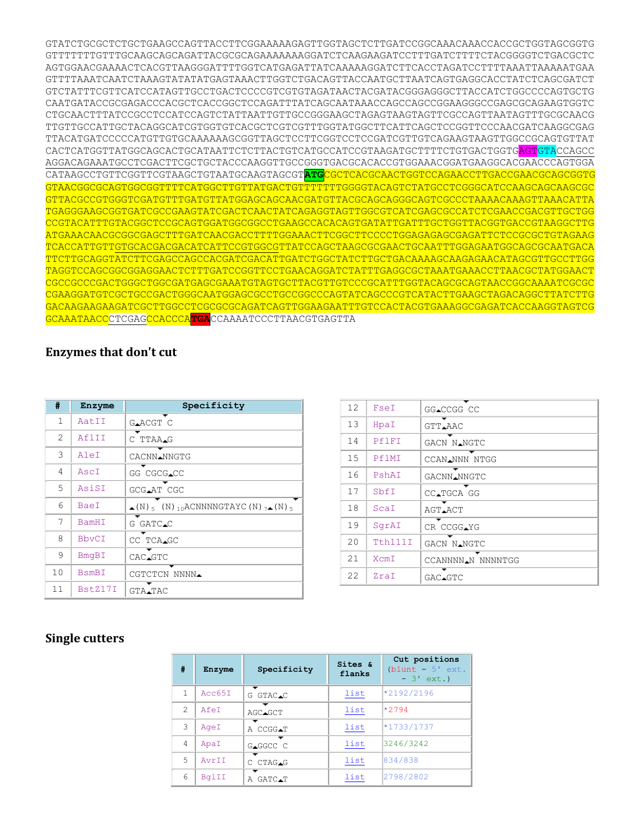GTATCTGCGCTCTGCTGAAGCCAGTTACCTTCGGAAAAAGAGTTGGTAGCTCTTGATCCGGCAAACAAACCACCGCTGGTAGCGGTG GTTTTTTTGTTTGCAAGCAGCAGATTACGCGCAGAAAAAAAGGATCTCAAGAAGATCCTTTGATCTTTTCTACGGGGTCTGACGCTC AGTGGAACGAAAACTCACGTTAAGGGATTTTGGTCATGAGATTATCAAAAAGGATCTTCACCTAGATCCTTTTAAATTAAAAATGAA GTTTTAAATCAATCTAAAGTATATATGAGTAAACTTGGTCTGACAGTTACCAATGCTTAATCAGTGAGGCACCTATCTCAGCGATCT GTCTATTTCGTTCATCCATAGTTGCCTGACTCCCCGTCGTGTAGATAACTACGATACGGGAGGGCTTACCATCTGGCCCCAGTGCTG CAATGATACCGCGAGACCCACGCTCACCGGCTCCAGATTTATCAGCAATAAACCAGCCAGCCGGAAGGGCCGAGCGCAGAAGTGGTC CTGCAACTTTATCCGCCTCCATCCAGTCTATTAATTGTTGCCGGGAAGCTAGAGTAAGTAGTTCGCCAGTTAATAGTTTGCGCAACG TTGTTGCCATTGCTACAGGCATCGTGGTGTCACGCTCGTCGTTTGGTATGGCTTCATTCAGCTCCGGTTCCCAACGATCAAGGCGAG TTACATGATCCCCCATGTTGTGCAAAAAAGCGGTTAGCTCCTTCGGTCCTCCGATCGTTGTCAGAAGTAAGTTGGCCGCAGTGTTAT CACTCATGGTTATGGCAGCACTGCATAATTCTCTTACTGTCATGCCATCCGTAAGATGCTTTTCTGTGACTGGTGAGTGTACCAGCC AGGACAGAAATGCCTCGACTTCGCTGCTACCCAAGGTTGCCGGGTGACGCACACCGTGGAAACGGATGAAGGCACGAACCCAGTGGA CATAAGCCTGTTCGGTTCGTAAGCTGTAATGCAAGTAGCGT**ATG**CGCTCACGCAACTGGTCCAGAACCTTGACCGAACGCAGCGGTG GTAACGGCGCAGTGGCGGTTTTCATGGCTTGTTATGACTGTTTTTTTGGGGTACAGTCTATGCCTCGGGCATCCAAGCAGCAAGCGC GTTACGCCGTGGGTCGATGTTTGATGTTATGGAGCAGCAACGATGTTACGCAGCAGGGCAGTCGCCCTAAAACAAAGTTAAACATTA TGAGGGAAGCGGTGATCGCCGAAGTATCGACTCAACTATCAGAGGTAGTTGGCGTCATCGAGCGCCATCTCGAACCGACGTTGCTGG CCGTACATTTGTACGGCTCCGCAGTGGATGGCGGCCTGAAGCCACACAGTGATATTGATTTGCTGGTTACGGTGACCGTAAGGCTTG ATGAAACAACGCGGCGAGCTTTGATCAACGACCTTTTGGAAACTTCGGCTTCCCCTGGAGAGAGCGAGATTCTCCGCGCTGTAGAAG TCACCATTGTTGTGCACGACGACATCATTCCGTGGCGTTATCCAGCTAAGCGCGAACTGCAATTTGGAGAATGGCAGCGCAATGACA TTCTTGCAGGTATCTTCGAGCCAGCCACGATCGACATTGATCTGGCTATCTTGCTGACAAAAGCAAGAGAACATAGCGTTGCCTTGG TAGGTCCAGCGGCGGAGGAACTCTTTGATCCGGTTCCTGAACAGGATCTATTTGAGGCGCTAAATGAAACCTTAACGCTATGGAACT CGCCGCCCGACTGGGCTGGCGATGAGCGAAATGTAGTGCTTACGTTGTCCCGCATTTGGTACAGCGCAGTAACCGGCAAAATCGCGC CGAAGGATGTCGCTGCCGACTGGGCAATGGAGCGCCTGCCGGCCCAGTATCAGCCCGTCATACTTGAAGCTAGACAGGCTTATCTTG GACAAGAAGAAGATCGCTTGGCCTCGCGCGCAGATCAGTTGGAAGAATTTGTCCACTACGTGAAAGGCGAGATCACCAAGGTAGTCG GCAAATAACCCTCGAGCCACCCA**TGA**CCAAAATCCCTTAACGTGAGTTA

## **Enzymes that don't cut**

| #              | Enzyme       | Specificity                                                              |
|----------------|--------------|--------------------------------------------------------------------------|
| 1              | AatII        | GAACGT C                                                                 |
| $\mathfrak{D}$ | AflII        | C TTAA.G                                                                 |
| 3              | AleI         | CACNN.NNGTG                                                              |
| 4              | AscI         | GG CGCG.CC                                                               |
| 5              | AsiSI        | GCG.AT CGC                                                               |
| 6              | <b>BaeI</b>  | $\bullet$ (N) $\epsilon$ (N) 10 ACNNNNGTAYC(N) $7\bullet$ (N) $\epsilon$ |
| 7              | <b>BamHI</b> | G GATC.C                                                                 |
| 8              | <b>BbvCI</b> | CC TCA.GC                                                                |
| 9              | BmqBI        | CAC.GTC                                                                  |
| 10             | <b>BsmBI</b> | CGTCTCN NNNN.                                                            |
| 11             | BstZ17I      | GTA.TAC                                                                  |

| $12 \overline{ }$ | FseI    | GG_CCGG CC        |  |  |
|-------------------|---------|-------------------|--|--|
| 13                | HpaI    | GTT.AAC           |  |  |
| 14                | PflFT   | GACN NANGTC       |  |  |
| 15                | PflMI   | CCAN.NNN NTGG     |  |  |
| 16                | PshAI   | GACNN.NNGTC       |  |  |
| 17                | SbfI    | CC.TGCA GG        |  |  |
| 18                | ScaI    | AGT.ACT           |  |  |
| 19                | SqrAI   | ▼<br>CR CCGG.YG   |  |  |
| 20                | Tth111I | GACN N.NGTC       |  |  |
| 21                | XcmI    | CCANNNNAN NNNNTGG |  |  |
| 22                | ZraI    | GAC.GTC           |  |  |

## **Single cutters**

| #             | <b>Enzyme</b> | Specificity   | Sites &<br>flanks | Cut positions<br>$(blunt - 5' ext.$<br>$-3'$ ext.) |
|---------------|---------------|---------------|-------------------|----------------------------------------------------|
| 1             | Acc65T        | G GTAC.C      | list              | *2192/2196                                         |
| $\mathcal{P}$ | AfeT          | ▬<br>AGC.GCT  | list              | $*2794$                                            |
| 3             | AgeI          | ٠<br>A CCGG.T | list              | $*1733/1737$                                       |
| 4             | ApaI          | -<br>GAGGCC C | list              | 3246/3242                                          |
| 5             | AvrTT         | C CTAGAG      | list              | 834/838                                            |
| 6             | BqlII         | ▬<br>A GATC.T | list              | 2798/2802                                          |